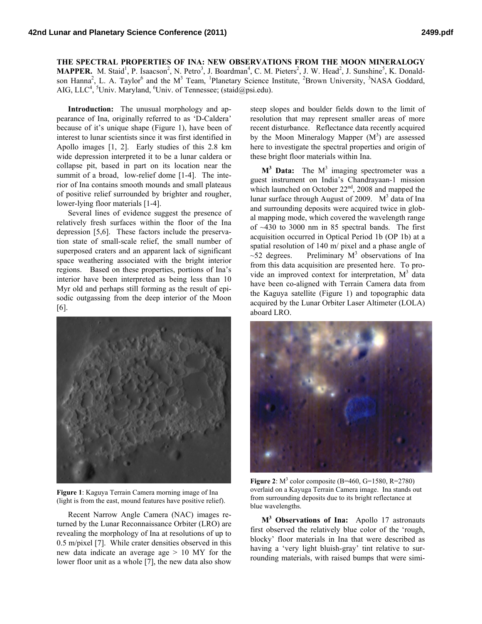**THE SPECTRAL PROPERTIES OF INA: NEW OBSERVATIONS FROM THE MOON MINERALOGY**  MAPPER. M. Staid<sup>1</sup>, P. Isaacson<sup>2</sup>, N. Petro<sup>3</sup>, J. Boardman<sup>4</sup>, C. M. Pieters<sup>2</sup>, J. W. Head<sup>2</sup>, J. Sunshine<sup>5</sup>, K. Donaldson Hanna<sup>2</sup>, L. A. Taylor<sup>6</sup> and the M<sup>3</sup> Team, <sup>1</sup>Planetary Science Institute, <sup>2</sup>Brown University, <sup>3</sup>NASA Goddard, AIG, LLC<sup>4</sup>, <sup>5</sup>Univ. Maryland, <sup>6</sup>Univ. of Tennessee; (staid@psi.edu).

**Introduction:** The unusual morphology and appearance of Ina, originally referred to as 'D-Caldera' because of it's unique shape (Figure 1), have been of interest to lunar scientists since it was first identified in Apollo images [1, 2]. Early studies of this 2.8 km wide depression interpreted it to be a lunar caldera or collapse pit, based in part on its location near the summit of a broad, low-relief dome [1-4]. The interior of Ina contains smooth mounds and small plateaus of positive relief surrounded by brighter and rougher, lower-lying floor materials [1-4].

Several lines of evidence suggest the presence of relatively fresh surfaces within the floor of the Ina depression [5,6]. These factors include the preservation state of small-scale relief, the small number of superposed craters and an apparent lack of significant space weathering associated with the bright interior regions. Based on these properties, portions of Ina's interior have been interpreted as being less than 10 Myr old and perhaps still forming as the result of episodic outgassing from the deep interior of the Moon [6].



**Figure 1**: Kaguya Terrain Camera morning image of Ina (light is from the east, mound features have positive relief).

Recent Narrow Angle Camera (NAC) images returned by the Lunar Reconnaissance Orbiter (LRO) are revealing the morphology of Ina at resolutions of up to 0.5 m/pixel [7]. While crater densities observed in this new data indicate an average age > 10 MY for the lower floor unit as a whole [7], the new data also show

steep slopes and boulder fields down to the limit of resolution that may represent smaller areas of more recent disturbance. Reflectance data recently acquired by the Moon Mineralogy Mapper  $(M^3)$  are assessed here to investigate the spectral properties and origin of these bright floor materials within Ina.

 $M^3$  Data: The  $M^3$  imaging spectrometer was a guest instrument on India's Chandrayaan-1 mission which launched on October  $22<sup>nd</sup>$ , 2008 and mapped the lunar surface through August of 2009.  $M<sup>3</sup>$  data of Ina and surrounding deposits were acquired twice in global mapping mode, which covered the wavelength range of ~430 to 3000 nm in 85 spectral bands. The first acquisition occurred in Optical Period 1b (OP 1b) at a spatial resolution of 140 m/ pixel and a phase angle of  $\sim$ 52 degrees. Preliminary M<sup>3</sup> observations of Ina from this data acquisition are presented here. To provide an improved context for interpretation,  $M^3$  data have been co-aligned with Terrain Camera data from the Kaguya satellite (Figure 1) and topographic data acquired by the Lunar Orbiter Laser Altimeter (LOLA) aboard LRO.



**Figure 2**:  $M^3$  color composite (B=460, G=1580, R=2780) overlaid on a Kayuga Terrain Camera image. Ina stands out from surrounding deposits due to its bright reflectance at blue wavelengths.

**M<sup>3</sup> Observations of Ina:** Apollo 17 astronauts first observed the relatively blue color of the 'rough, blocky' floor materials in Ina that were described as having a 'very light bluish-gray' tint relative to surrounding materials, with raised bumps that were simi